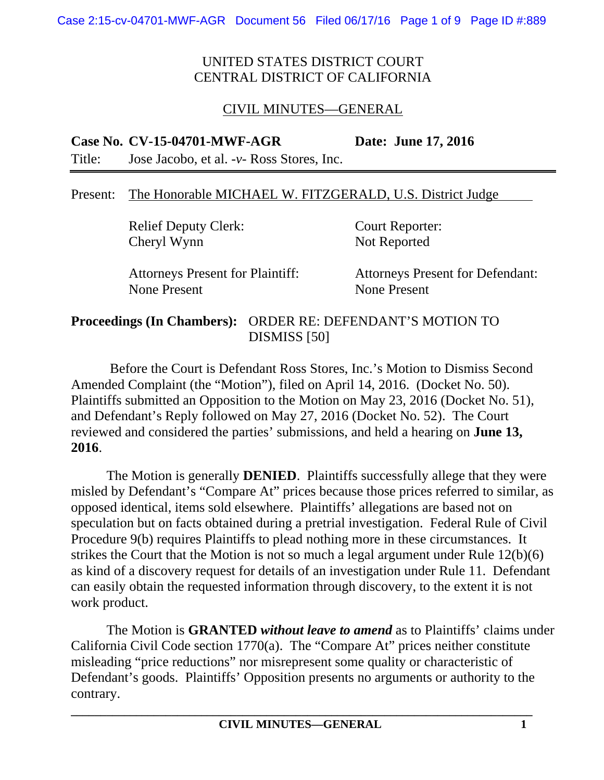## CIVIL MINUTES—GENERAL

#### **Case No. CV-15-04701-MWF-AGR Date: June 17, 2016**

Title: Jose Jacobo, et al. -*v*- Ross Stores, Inc.

#### Present: The Honorable MICHAEL W. FITZGERALD, U.S. District Judge

Relief Deputy Clerk: Court Reporter: Cheryl Wynn Not Reported

None Present None Present

Attorneys Present for Plaintiff: Attorneys Present for Defendant:

#### **Proceedings (In Chambers):** ORDER RE: DEFENDANT'S MOTION TO DISMISS [50]

 Before the Court is Defendant Ross Stores, Inc.'s Motion to Dismiss Second Amended Complaint (the "Motion"), filed on April 14, 2016. (Docket No. 50). Plaintiffs submitted an Opposition to the Motion on May 23, 2016 (Docket No. 51), and Defendant's Reply followed on May 27, 2016 (Docket No. 52). The Court reviewed and considered the parties' submissions, and held a hearing on **June 13, 2016**.

The Motion is generally **DENIED**. Plaintiffs successfully allege that they were misled by Defendant's "Compare At" prices because those prices referred to similar, as opposed identical, items sold elsewhere. Plaintiffs' allegations are based not on speculation but on facts obtained during a pretrial investigation. Federal Rule of Civil Procedure 9(b) requires Plaintiffs to plead nothing more in these circumstances. It strikes the Court that the Motion is not so much a legal argument under Rule 12(b)(6) as kind of a discovery request for details of an investigation under Rule 11. Defendant can easily obtain the requested information through discovery, to the extent it is not work product.

The Motion is **GRANTED** *without leave to amend* as to Plaintiffs' claims under California Civil Code section 1770(a). The "Compare At" prices neither constitute misleading "price reductions" nor misrepresent some quality or characteristic of Defendant's goods. Plaintiffs' Opposition presents no arguments or authority to the contrary.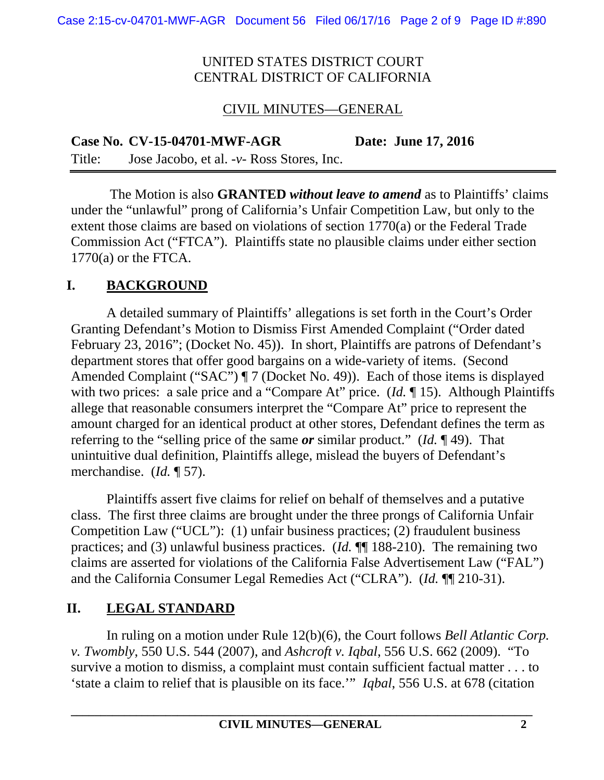### CIVIL MINUTES—GENERAL

**Case No. CV-15-04701-MWF-AGR Date: June 17, 2016**  Title: Jose Jacobo, et al. -*v*- Ross Stores, Inc.

 The Motion is also **GRANTED** *without leave to amend* as to Plaintiffs' claims under the "unlawful" prong of California's Unfair Competition Law, but only to the extent those claims are based on violations of section 1770(a) or the Federal Trade Commission Act ("FTCA"). Plaintiffs state no plausible claims under either section  $1770(a)$  or the FTCA.

## **I. BACKGROUND**

 A detailed summary of Plaintiffs' allegations is set forth in the Court's Order Granting Defendant's Motion to Dismiss First Amended Complaint ("Order dated February 23, 2016"; (Docket No. 45)). In short, Plaintiffs are patrons of Defendant's department stores that offer good bargains on a wide-variety of items. (Second Amended Complaint ("SAC") ¶ 7 (Docket No. 49)). Each of those items is displayed with two prices: a sale price and a "Compare At" price. (*Id.* 15). Although Plaintiffs allege that reasonable consumers interpret the "Compare At" price to represent the amount charged for an identical product at other stores, Defendant defines the term as referring to the "selling price of the same *or* similar product." (*Id.* ¶ 49). That unintuitive dual definition, Plaintiffs allege, mislead the buyers of Defendant's merchandise. (*Id.* ¶ 57).

Plaintiffs assert five claims for relief on behalf of themselves and a putative class. The first three claims are brought under the three prongs of California Unfair Competition Law ("UCL"): (1) unfair business practices; (2) fraudulent business practices; and (3) unlawful business practices. (*Id.* ¶¶ 188-210). The remaining two claims are asserted for violations of the California False Advertisement Law ("FAL") and the California Consumer Legal Remedies Act ("CLRA"). (*Id.* ¶¶ 210-31).

## **II. LEGAL STANDARD**

In ruling on a motion under Rule 12(b)(6), the Court follows *Bell Atlantic Corp. v. Twombly*, 550 U.S. 544 (2007), and *Ashcroft v. Iqbal*, 556 U.S. 662 (2009). "To survive a motion to dismiss, a complaint must contain sufficient factual matter . . . to 'state a claim to relief that is plausible on its face.'" *Iqbal*, 556 U.S. at 678 (citation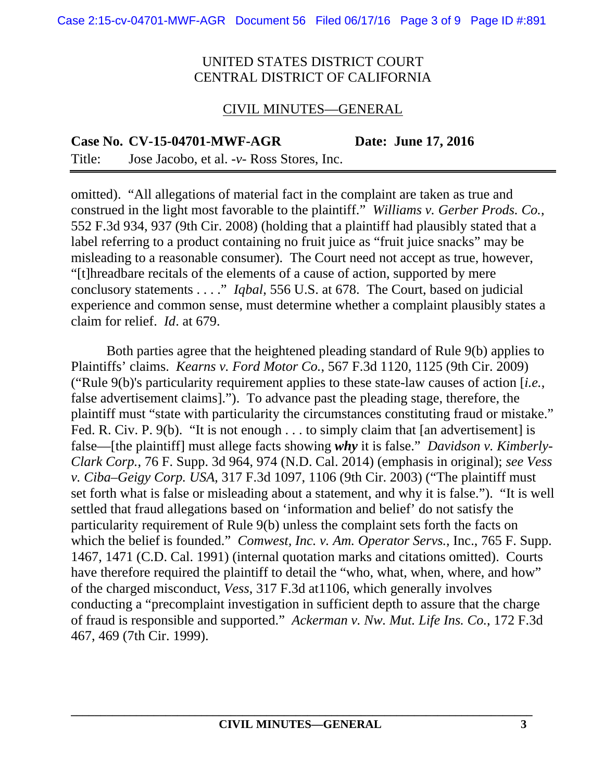#### CIVIL MINUTES—GENERAL

**Case No. CV-15-04701-MWF-AGR Date: June 17, 2016** 

Title: Jose Jacobo, et al. -*v*- Ross Stores, Inc.

omitted). "All allegations of material fact in the complaint are taken as true and construed in the light most favorable to the plaintiff." *Williams v. Gerber Prods. Co.*, 552 F.3d 934, 937 (9th Cir. 2008) (holding that a plaintiff had plausibly stated that a label referring to a product containing no fruit juice as "fruit juice snacks" may be misleading to a reasonable consumer). The Court need not accept as true, however, "[t]hreadbare recitals of the elements of a cause of action, supported by mere conclusory statements . . . ." *Iqbal*, 556 U.S. at 678. The Court, based on judicial experience and common sense, must determine whether a complaint plausibly states a claim for relief. *Id*. at 679.

Both parties agree that the heightened pleading standard of Rule 9(b) applies to Plaintiffs' claims. *Kearns v. Ford Motor Co.*, 567 F.3d 1120, 1125 (9th Cir. 2009) ("Rule 9(b)'s particularity requirement applies to these state-law causes of action [*i.e.*, false advertisement claims]."). To advance past the pleading stage, therefore, the plaintiff must "state with particularity the circumstances constituting fraud or mistake." Fed. R. Civ. P. 9(b). "It is not enough . . . to simply claim that [an advertisement] is false—[the plaintiff] must allege facts showing *why* it is false." *Davidson v. Kimberly-Clark Corp.*, 76 F. Supp. 3d 964, 974 (N.D. Cal. 2014) (emphasis in original); *see Vess v. Ciba–Geigy Corp. USA*, 317 F.3d 1097, 1106 (9th Cir. 2003) ("The plaintiff must set forth what is false or misleading about a statement, and why it is false."). "It is well settled that fraud allegations based on 'information and belief' do not satisfy the particularity requirement of Rule 9(b) unless the complaint sets forth the facts on which the belief is founded." *Comwest, Inc. v. Am. Operator Servs.*, Inc., 765 F. Supp. 1467, 1471 (C.D. Cal. 1991) (internal quotation marks and citations omitted). Courts have therefore required the plaintiff to detail the "who, what, when, where, and how" of the charged misconduct, *Vess*, 317 F.3d at1106, which generally involves conducting a "precomplaint investigation in sufficient depth to assure that the charge of fraud is responsible and supported." *Ackerman v. Nw. Mut. Life Ins. Co.*, 172 F.3d 467, 469 (7th Cir. 1999).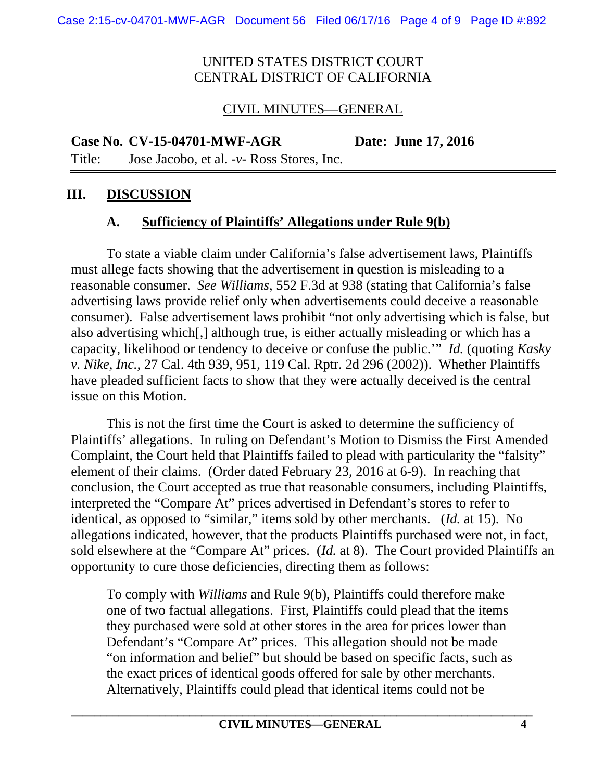## CIVIL MINUTES—GENERAL

**Case No. CV-15-04701-MWF-AGR Date: June 17, 2016** 

Title: Jose Jacobo, et al. -*v*- Ross Stores, Inc.

## **III. DISCUSSION**

## **A. Sufficiency of Plaintiffs' Allegations under Rule 9(b)**

To state a viable claim under California's false advertisement laws, Plaintiffs must allege facts showing that the advertisement in question is misleading to a reasonable consumer. *See Williams*, 552 F.3d at 938 (stating that California's false advertising laws provide relief only when advertisements could deceive a reasonable consumer). False advertisement laws prohibit "not only advertising which is false, but also advertising which[,] although true, is either actually misleading or which has a capacity, likelihood or tendency to deceive or confuse the public.'" *Id.* (quoting *Kasky v. Nike, Inc.*, 27 Cal. 4th 939, 951, 119 Cal. Rptr. 2d 296 (2002)). Whether Plaintiffs have pleaded sufficient facts to show that they were actually deceived is the central issue on this Motion.

This is not the first time the Court is asked to determine the sufficiency of Plaintiffs' allegations. In ruling on Defendant's Motion to Dismiss the First Amended Complaint, the Court held that Plaintiffs failed to plead with particularity the "falsity" element of their claims. (Order dated February 23, 2016 at 6-9). In reaching that conclusion, the Court accepted as true that reasonable consumers, including Plaintiffs, interpreted the "Compare At" prices advertised in Defendant's stores to refer to identical, as opposed to "similar," items sold by other merchants. (*Id.* at 15). No allegations indicated, however, that the products Plaintiffs purchased were not, in fact, sold elsewhere at the "Compare At" prices. (*Id.* at 8). The Court provided Plaintiffs an opportunity to cure those deficiencies, directing them as follows:

To comply with *Williams* and Rule 9(b), Plaintiffs could therefore make one of two factual allegations. First, Plaintiffs could plead that the items they purchased were sold at other stores in the area for prices lower than Defendant's "Compare At" prices. This allegation should not be made "on information and belief" but should be based on specific facts, such as the exact prices of identical goods offered for sale by other merchants. Alternatively, Plaintiffs could plead that identical items could not be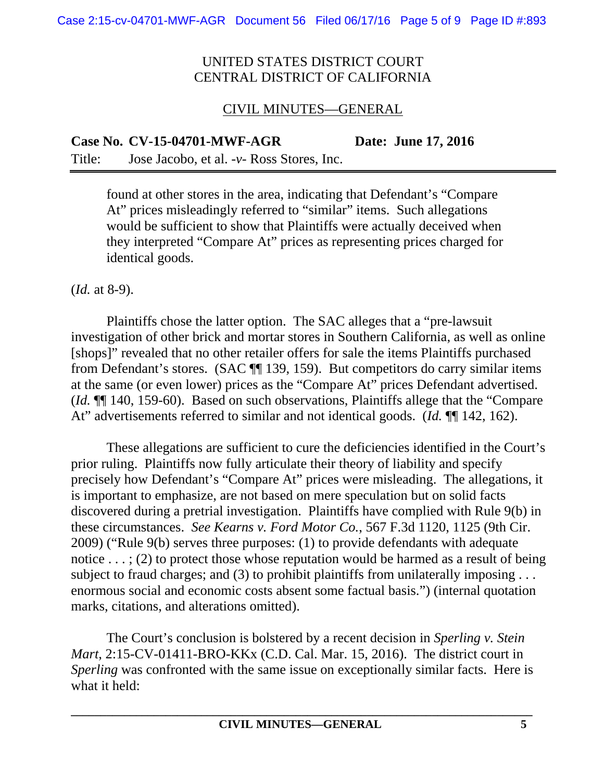### CIVIL MINUTES—GENERAL

**Case No. CV-15-04701-MWF-AGR Date: June 17, 2016** 

Title: Jose Jacobo, et al. -*v*- Ross Stores, Inc.

found at other stores in the area, indicating that Defendant's "Compare At" prices misleadingly referred to "similar" items. Such allegations would be sufficient to show that Plaintiffs were actually deceived when they interpreted "Compare At" prices as representing prices charged for identical goods.

(*Id.* at 8-9).

 Plaintiffs chose the latter option. The SAC alleges that a "pre-lawsuit investigation of other brick and mortar stores in Southern California, as well as online [shops]" revealed that no other retailer offers for sale the items Plaintiffs purchased from Defendant's stores. (SAC ¶¶ 139, 159). But competitors do carry similar items at the same (or even lower) prices as the "Compare At" prices Defendant advertised. (*Id.* ¶¶ 140, 159-60). Based on such observations, Plaintiffs allege that the "Compare At" advertisements referred to similar and not identical goods. (*Id.* ¶ 142, 162).

 These allegations are sufficient to cure the deficiencies identified in the Court's prior ruling. Plaintiffs now fully articulate their theory of liability and specify precisely how Defendant's "Compare At" prices were misleading. The allegations, it is important to emphasize, are not based on mere speculation but on solid facts discovered during a pretrial investigation. Plaintiffs have complied with Rule 9(b) in these circumstances. *See Kearns v. Ford Motor Co.*, 567 F.3d 1120, 1125 (9th Cir. 2009) ("Rule 9(b) serves three purposes: (1) to provide defendants with adequate notice . . . ; (2) to protect those whose reputation would be harmed as a result of being subject to fraud charges; and (3) to prohibit plaintiffs from unilaterally imposing . . . enormous social and economic costs absent some factual basis.") (internal quotation marks, citations, and alterations omitted).

 The Court's conclusion is bolstered by a recent decision in *Sperling v. Stein Mart*, 2:15-CV-01411-BRO-KKx (C.D. Cal. Mar. 15, 2016). The district court in *Sperling* was confronted with the same issue on exceptionally similar facts. Here is what it held: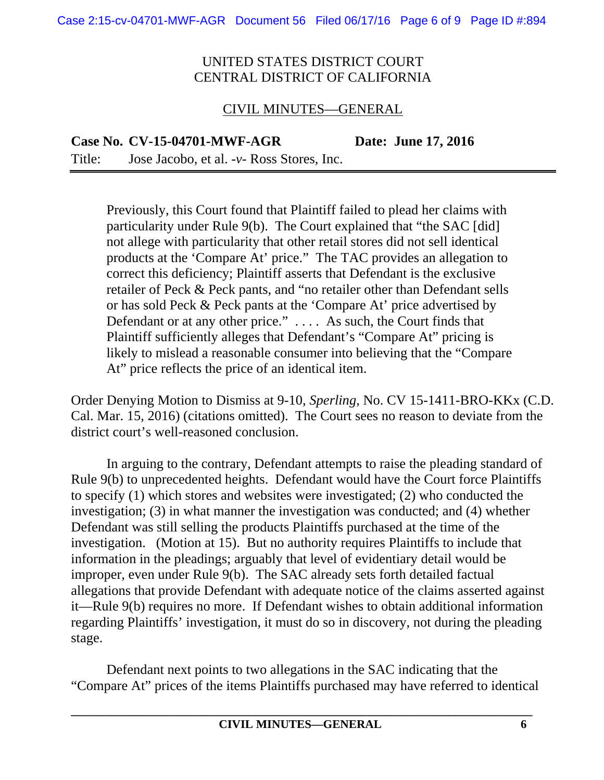### CIVIL MINUTES—GENERAL

**Case No. CV-15-04701-MWF-AGR Date: June 17, 2016** 

Title: Jose Jacobo, et al. -*v*- Ross Stores, Inc.

Previously, this Court found that Plaintiff failed to plead her claims with particularity under Rule 9(b). The Court explained that "the SAC [did] not allege with particularity that other retail stores did not sell identical products at the 'Compare At' price." The TAC provides an allegation to correct this deficiency; Plaintiff asserts that Defendant is the exclusive retailer of Peck & Peck pants, and "no retailer other than Defendant sells or has sold Peck & Peck pants at the 'Compare At' price advertised by Defendant or at any other price." . . . . As such, the Court finds that Plaintiff sufficiently alleges that Defendant's "Compare At" pricing is likely to mislead a reasonable consumer into believing that the "Compare At" price reflects the price of an identical item.

Order Denying Motion to Dismiss at 9-10, *Sperling*, No. CV 15-1411-BRO-KKx (C.D. Cal. Mar. 15, 2016) (citations omitted). The Court sees no reason to deviate from the district court's well-reasoned conclusion.

In arguing to the contrary, Defendant attempts to raise the pleading standard of Rule 9(b) to unprecedented heights. Defendant would have the Court force Plaintiffs to specify (1) which stores and websites were investigated; (2) who conducted the investigation; (3) in what manner the investigation was conducted; and (4) whether Defendant was still selling the products Plaintiffs purchased at the time of the investigation. (Motion at 15). But no authority requires Plaintiffs to include that information in the pleadings; arguably that level of evidentiary detail would be improper, even under Rule 9(b). The SAC already sets forth detailed factual allegations that provide Defendant with adequate notice of the claims asserted against it—Rule 9(b) requires no more. If Defendant wishes to obtain additional information regarding Plaintiffs' investigation, it must do so in discovery, not during the pleading stage.

 Defendant next points to two allegations in the SAC indicating that the "Compare At" prices of the items Plaintiffs purchased may have referred to identical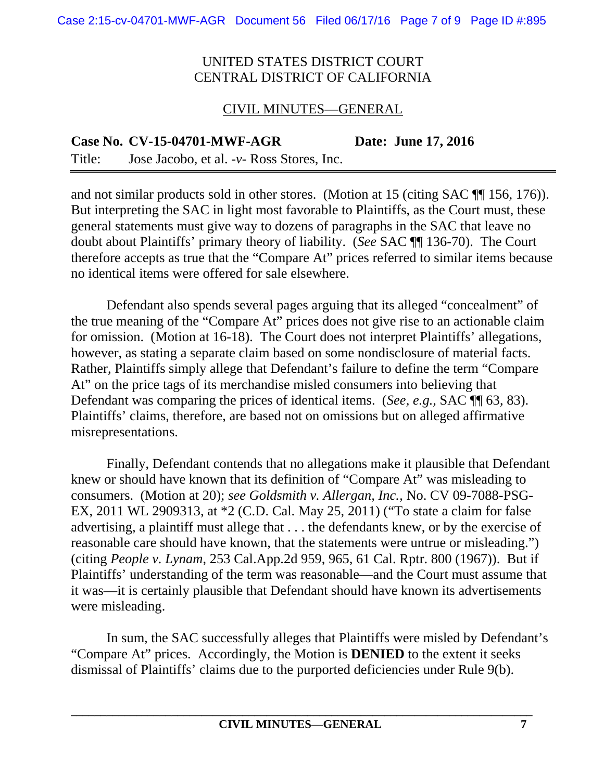#### CIVIL MINUTES—GENERAL

**Case No. CV-15-04701-MWF-AGR Date: June 17, 2016**  Title: Jose Jacobo, et al. -*v*- Ross Stores, Inc.

and not similar products sold in other stores. (Motion at 15 (citing SAC ¶¶ 156, 176)). But interpreting the SAC in light most favorable to Plaintiffs, as the Court must, these general statements must give way to dozens of paragraphs in the SAC that leave no doubt about Plaintiffs' primary theory of liability. (*See* SAC ¶¶ 136-70). The Court therefore accepts as true that the "Compare At" prices referred to similar items because no identical items were offered for sale elsewhere.

 Defendant also spends several pages arguing that its alleged "concealment" of the true meaning of the "Compare At" prices does not give rise to an actionable claim for omission. (Motion at 16-18). The Court does not interpret Plaintiffs' allegations, however, as stating a separate claim based on some nondisclosure of material facts. Rather, Plaintiffs simply allege that Defendant's failure to define the term "Compare At" on the price tags of its merchandise misled consumers into believing that Defendant was comparing the prices of identical items. (*See, e.g.,* SAC ¶¶ 63, 83). Plaintiffs' claims, therefore, are based not on omissions but on alleged affirmative misrepresentations.

 Finally, Defendant contends that no allegations make it plausible that Defendant knew or should have known that its definition of "Compare At" was misleading to consumers. (Motion at 20); *see Goldsmith v. Allergan, Inc.*, No. CV 09-7088-PSG-EX, 2011 WL 2909313, at \*2 (C.D. Cal. May 25, 2011) ("To state a claim for false advertising, a plaintiff must allege that . . . the defendants knew, or by the exercise of reasonable care should have known, that the statements were untrue or misleading.") (citing *People v. Lynam*, 253 Cal.App.2d 959, 965, 61 Cal. Rptr. 800 (1967)). But if Plaintiffs' understanding of the term was reasonable—and the Court must assume that it was—it is certainly plausible that Defendant should have known its advertisements were misleading.

 In sum, the SAC successfully alleges that Plaintiffs were misled by Defendant's "Compare At" prices. Accordingly, the Motion is **DENIED** to the extent it seeks dismissal of Plaintiffs' claims due to the purported deficiencies under Rule 9(b).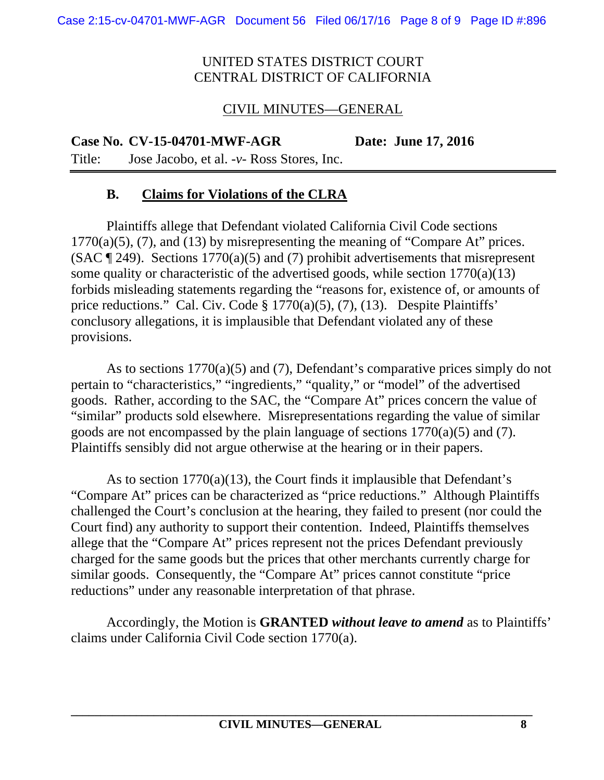## CIVIL MINUTES—GENERAL

**Case No. CV-15-04701-MWF-AGR Date: June 17, 2016** 

Title: Jose Jacobo, et al. -*v*- Ross Stores, Inc.

## **B. Claims for Violations of the CLRA**

Plaintiffs allege that Defendant violated California Civil Code sections  $1770(a)(5)$ , (7), and (13) by misrepresenting the meaning of "Compare At" prices. (SAC  $\P$  249). Sections 1770(a)(5) and (7) prohibit advertisements that misrepresent some quality or characteristic of the advertised goods, while section 1770(a)(13) forbids misleading statements regarding the "reasons for, existence of, or amounts of price reductions." Cal. Civ. Code § 1770(a)(5), (7), (13). Despite Plaintiffs' conclusory allegations, it is implausible that Defendant violated any of these provisions.

As to sections 1770(a)(5) and (7), Defendant's comparative prices simply do not pertain to "characteristics," "ingredients," "quality," or "model" of the advertised goods. Rather, according to the SAC, the "Compare At" prices concern the value of "similar" products sold elsewhere. Misrepresentations regarding the value of similar goods are not encompassed by the plain language of sections 1770(a)(5) and (7). Plaintiffs sensibly did not argue otherwise at the hearing or in their papers.

As to section 1770(a)(13), the Court finds it implausible that Defendant's "Compare At" prices can be characterized as "price reductions." Although Plaintiffs challenged the Court's conclusion at the hearing, they failed to present (nor could the Court find) any authority to support their contention. Indeed, Plaintiffs themselves allege that the "Compare At" prices represent not the prices Defendant previously charged for the same goods but the prices that other merchants currently charge for similar goods. Consequently, the "Compare At" prices cannot constitute "price reductions" under any reasonable interpretation of that phrase.

Accordingly, the Motion is **GRANTED** *without leave to amend* as to Plaintiffs' claims under California Civil Code section 1770(a).